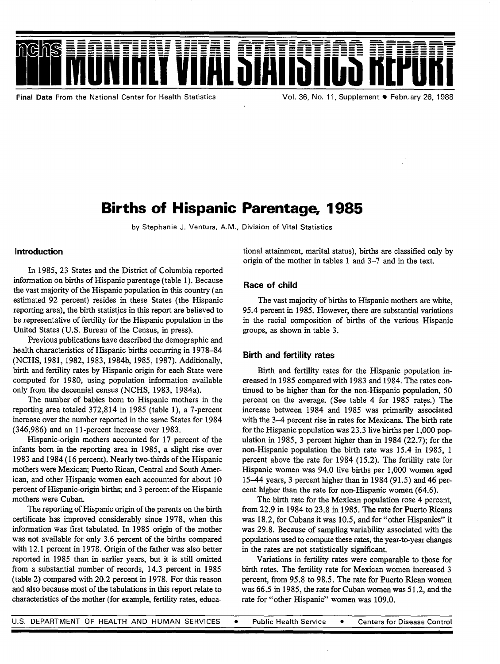

**Final Data From the National Center for Health Statistics** 

# Births of Hispanic Parentage, 1985

**by Stephanie J. Ventura, A. M., Division of Vital Statistics** 

#### **Introduction**

**In** 1985, **23 States and the District of Columbia reported information** on births of Hispanic parentage (table 1). Because the vast majority of the Hispanic population in this country (an estimated 92 percent) resides in these States (the Hispanic reporting area), the birth statistics in this report are believed to be representative of fertility for the Hispanic population in the United States (U.S. Bureau of the Census, in press).

Previous publications have described the demographic and health characteristics of Hispanic births occurring in 1978-84 (NCHS, 1981,1982, 1983, 1984b, 1985, 1987). Additionally, birth and fertility rates by Hispanic origin for each State were computed for 1980, using population information available only from the decennial census (NCHS, 1983, 1984a).

The number of babies born to Hispanic mothers in the reporting area totaled 372,814 in 1985 (table 1), a 7-percent increase over the number reported in the same States for 1984 (346,986) and an 1l-percent increase over 1983.

Hispanic-origin mothers accounted for 17 percent of the infants born in the reporting area in 1985, a slight rise over 1983 and 1984 (16 percent). Nearly two-thirds of the Hispanic mothers were Mexican; Puerto Rican, Central and South American, and other Hispanic women each accounted for about 10 percent of Hispanic-origin births; and 3 percent of the Hispanic mothers were Cuban.

The reporting of Hispanic origin of the parents on the birth certificate has improved considerably since 1978, when this information was first tabulated. In 1985 origin of the mother was not available for only 3.6 percent of the births compared with 12.1 percent in 1978. Origin of the father was also better reported in 1985 than in earlier years, but it is still omitted from a substantial number of records, 14.3 percent in 1985 (table 2) compared with 20.2 percent in 1978. For this reason and also because most of the tabulations in this report relate to characteristics of the mother (for example, fertility rates, educational attainment, marital status), births are classified only by origin of the mother in tables 1 and 3–7 and in the text.

#### **Race of child**

The vast majority of births to Hispanic mothers are white, 95.4 percent in 1985. However, there are substantial variations in the racial composition of births of the various Hispanic groups, as shown in table 3.

#### **Birth and fertility rates**

Birth and fertility rates for the Hispanic population increased in 1985 compared with 1983 and 1984. The rates continued to be higher than for the non-Hispanic population, 50 percent on the average. (See table 4 for 1985 rates.) The increase between 1984 and 1985 was primarily associated with the 3–4 percent rise in rates for Mexicans. The birth rate for the Hispanic population was 23.3 live births per 1,000 pop ulation in 1985, 3 percent higher than in 1984 (22.7); for the non-Hispanic population the birth rate was 15.4 in 1985, 1 percent above the rate for 1984 (15.2). The fertility rate for Hispanic women was 94.0 live births per 1,000 women aged 1544 years, 3 percent higher than in 1984 (91.5) and 46 percent higher than the rate for non-Hispanic women (64.6).

The birth rate for the Mexican population rose 4 percent, from 22.9 in 1984 to 23.8 in 1985. The rate for Puerto Ricans was 18.2, for Cubans it was 10.5, and for "other Hispanics" it was 29,8. Because of sampling variability associated with the populations used to compute these rates, the year-to-year changes in the rates are not statistically significant.

Variations in fertility rates were comparable to those for birth rates. The fertility rate for Mexican women increased 3 percent, from 95.8 to 98.5. The rate for Puerto Rican women was 66.5 in 1985, the rate for Cuban women was 51.2, and the rate for "other Hispanic" women was 109.0.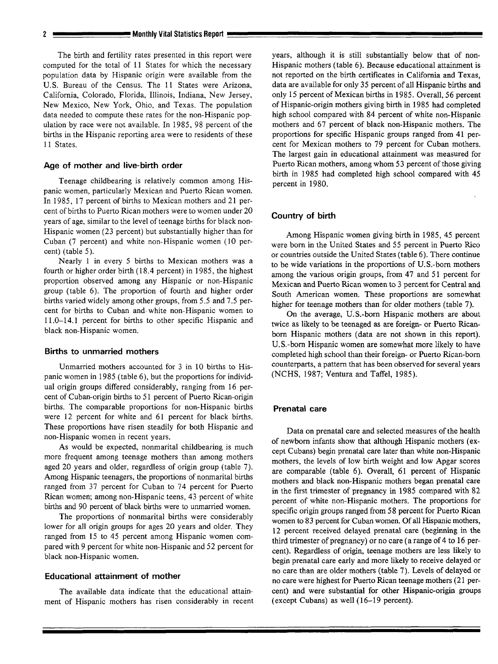#### **2** *Monthly Vital Statistics Report*

The birth and fertility rates presented in this report were computed for the total of 11 States for which the necessary population data by Hispanic origin were available from the U.S. Bureau of the Census. The 11 States were Arizona, California, Colorado, Florida, Illinois, Indiana, New Jersey, New Mexico, New York, Ohio, and Texas. The population data needed to compute these rates for the non-Hispanic pop ulation by race were not available. In 1985, 98 percent of the births in the Hispanic reporting area were to residents of these 11 States.

#### **Age of mother and live-birth order**

Teenage childbearing is relatively common among Hispanic women, particularly Mexican and Puerto Rican women. In 1985, 17 percent of births to Mexican mothers and 21 percent of births to Puerto Rican mothers were to women under 20 years of age, similar to the level of teenage births for black non-Hispanic women (23 percent) but substantially higher than for Cuban (7 percent) and white non-Hispanic women (10 percent) (table 5).

Nearly 1 in every 5 births to Mexican mothers was a fourth or higher order birth ( 18.4 percent) in 1985, the highest proportion observed among any Hispanic or non-Hispanic group (table 6). The proportion of fourth and higher order births varied widely among other groups, from 5.5 and 7.5 percent for births to Cuban and. white non-Hispanic women to 11.0–14. 1 percent for births to other specific Hispanic and black non-Hispanic women.

#### **Births to unmarried mothers**

Unmarried mothers accounted for 3 in 10 births to Hispanic women in 1985 (table 6), but the proportions for individual origin groups differed considerably, ranging from 16 percent of Cuban-origin births to 51 percent of Puerto Rican-origin births. The comparable proportions for non-Hispanic births were 12 percent for white and 61 percent for black births. These proportions have risen steadily for both Hispanic and non-Hispanic women in recent years.

As would be expected, nonmarital childbearing is much more frequent among teenage mothers than among mothers aged 20 years and older, regardless of origin group (table 7). Among Hispanic teenagers, the proportions of nonmarital births ranged from 37 percent for Cuban to 74 percent for Puerto Rican women; among non-Hispanic teens, 43 percent of white births and 90 percent of black births were to unmarried women.

The proportions of nonmarital births were considerably lower for all origin groups for ages 20 years and older. They ranged from 15 to 45 percent among Hispanic women compared with 9 percent for white non-Hispanic and 52 percent for black non-Hispanic women.

#### **Educational attainment of mother**

The available data indicate that the educational attainment of Hispanic mothers has risen considerably in recent years, although it is still substantially below that of non-Hispanic mothers (table 6). Because educational attaimnent is not reported on the birth certificates in California and Texas, data are available for only 35 percent of all Hispanic births and only 15 percent of Mexican births in 1985. Overall, 56 percent of Hispanic-origin mothers giving birth in 1985 had completed high school compared with 84 percent of white non-Hispanic mothers and 67 percent of black non-Hispanic mothers. The proportions for specific Hispanic groups ranged from 41 percent for Mexican mothers to 79 percent for Cuban mothers. The largest gain in educational attainment was measured for Puerto Rican mothers, among whom 53 percent of those giving birth in 1985 had completed high school compared with 45 percent in 1980.

#### **Country of birth**

Among Hispanic women giving birth in 1985, 45 percent were born in the United States and 55 percent in Puerto Rico or countries outside the United States (table 6). There continue to be wide variations in the proportions of U.S.-born mothers among the various origin groups, from 47 and 51 percent for Mexican and Puerto Rican women to 3 percent for Central and South American women. These proportions are somewhat higher for teenage mothers than for older mothers (table 7).

On the average, U.S.-born Hispanic mothers are about twice as likely to be teenaged as are foreign- or Puerto Ricanbom Hispanic mothers (data are not shown in this report). U.S.-born Hispanic women are somewhat more likely to have completed high school than their foreign- or Puerto Rican-born counterparts, a pattern that has been observed for several years (NCHS, 1987; Ventura and Taffel, 1985).

#### **Prenatal care**

Data on prenatal care and selected measures of the health of newborn infants show that although Hispanic mothers (except Cubans) begin prenatal care later than white non-Hispanic mothers, the levels of low birth weight and low Apgar scores are comparable (table 6). Overall, 61 percent of Hispanic mothers and black non-Hispanic mothers began prenatal care in the first trimester of pregnancy in 1985 compared with 82 percent of white non-Hispanic mothers. The proportions for specific origin groups ranged from 58 percent for Puerto Rican women to 83 percent for Cuban women. Of all Hispanic mothers, 12 percent received delayed prenatal care (beginning in the third trimester of pregnancy) or no care (a range of 4 to 16 percent). Regardless of origin, teenage mothers are less likely to begin prenatal care early and more likely to receive delayed or no care than are older mothers (table 7). Levels of delayed or no care were highest for Puerto Rican teenage mothers (2 1 percent) and were substantial for other Hispanic-origin groups (except Cubans) as well ( 16-19 percent).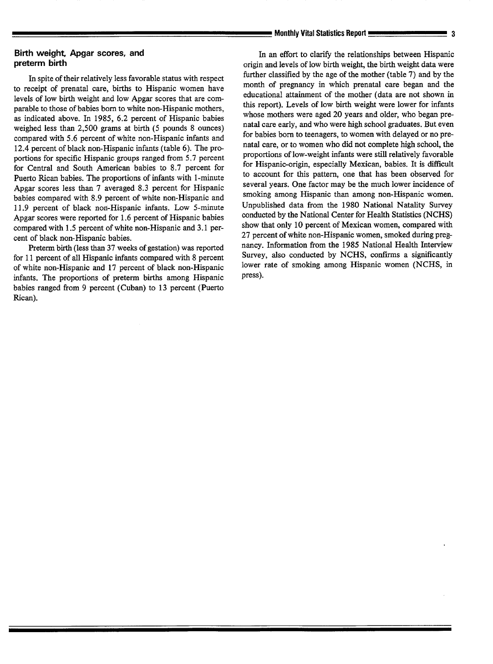### **Birth weight, Apgar scores, and preterm birth**

In spite of their relatively less favorable status with respect to receipt of prenatal care, births to Hispanic women have levels of low birth weight and low Apgar scores that are comparable to those of babies born to white non-Hispanic mothers, as indicated above. In 1985, 6.2 percent of Hispanic babies weighed less than 2,500 grams at birth (5 pounds 8 ounces) compared with 5.6 percent of white non-Hispanic infants and 12.4 percent of black non-Hispanic infants (table  $6$ ). The proportions for specific Hispanic groups ranged from 5.7 percent for Central and South American babies to 8.7 percent for Puerto Rican babies. The proportions of infants with l-minute Apgar scores less than 7 averaged 8.3 percent for Hispanic babies compared with 8.9 percent of white non-Hispanic and 11.9 percent of black non-Hispanic infants. Low 5-minute Apgar scores were reported for 1.6 percent of Hispanic babies compared with 1.5 percent of white non-Hispanic and 3.1 percent of black non-Hispanic babies.

Preterm birth (less than 37 weeks of gestation) was reported for 11 percent of all Hispanic infants compared with 8 percent of white non-Hispanic and 17 percent of black non-Hispanic infants. The proportions of preterrn births among Hispanic babies ranged from 9 percent (Cuban) to 13 percent (Puerto Rican).

In an effort to clarify the relationships between Hispanic origin and levels of low birth weight, the birth weight data were further classified by the age of the mother (table 7) and by the month of pregnancy in which prenatal care began and the educational attainment of the mother (data are not shown in this report). Levels of low birth weight were lower for infants whose mothers were aged 20 years and older, who began prenatal care early, and who were high school graduates. But even for babies born to teenagers, to women with delayed or no prenatal care, or to women who did not complete high school, the proportions of low-weight infants were still relatively favorable for Hispanic-origin, especially Mexican, babies. It is difficult to account for this pattern, one that has been observed for several years. One factor may be the much lower incidence of smoking among Hispanic than among non-Hispanic women. Unpublished data from the 1980 National Natality Survey conducted by the National Center for Health Statistics (NCHS) show that only 10 percent of Mexican women, compared with 27 percent of white non-Hispanic women, smoked during pregnancy. Information from the 1985 National Health Interview Survey, also conducted by NCHS, confirms a significantly lower rate of smoking among Hispanic women (NCHS, in press).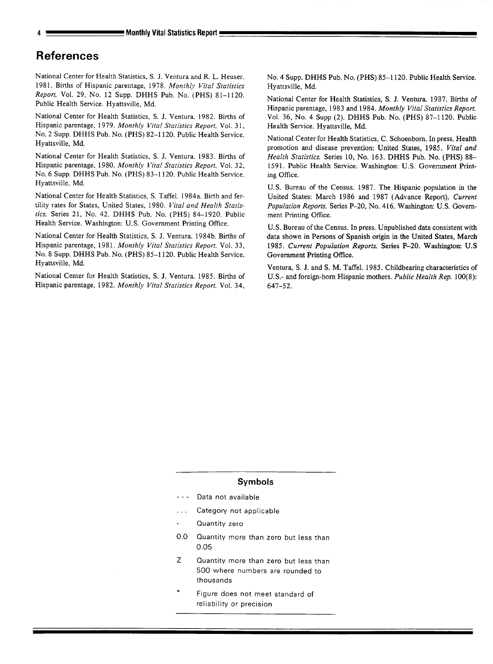## **References**

National Center for Health Statistics, S. J. Ventura and R. L. Heuser. 1981. Births of Hispanic parentage, 1978. Monthly Vital Statistics *Report.* Vol. 29, No. 12 Supp. DHHS Pub. No. (PHS) 81-1120. Public Health Service. Hyattsville, Md.

National Center for Health Statistics, S. J. Ventura. 1982. Births of Hispanic parentage, 1979. Monthly *Vital Stafisfics Reporf.* Vol. *31, No. 2* Supp. DHHS Pub. No. (PHS) 82–1 120. Public Health Service. Hyattsville, Md.

National Center for Health Statistics, S. J. Ventura. 1983. Births of Hispanic parentage, 1980. Monthly *Viral Sfatisfics Report.* Vol. *32, No. 6* Supp. DHHS Pub. No. (PHS) 83–1 120. Public Health Service. Hyattsville, Md.

National Center for Health Statistics, S. Taffel. 1984a. Birth and fertility rates for States, United States, 1980. *Vital and Health Statistics.* Series 21, No. 42. DHHS Pub. No. (PHS) 84-1920. Public Health Service. Washington: U.S. Government Printing Office.

National Center for Health Statistics, S. J. Ventura. 1984b. Births of Hispanic parentage, 1981. *Mortfhly Vital Statistics Report,* Vol. 33, No. 8 Supp. DHHS Pub. No. (PHS) 85–1 120. Public Health Service. Hyattsville, Md.

National Center for Health Statistics, S. J. Ventura. 1985. Births of Hispanic parentage, 1982. *Monthly Vital Statistics Report.* Vol. 34,

No. 4 Supp. DHHS Pub. No. (PHS) 85–1 120. Public Health Service. Hyattsville, Md.

National Center for Health Statistics, S. J. Ventura. 1987. Births of Hispanic parentage, 1983 and 1984. Monthly*Vita/ Statistics Report.*  Vol. 36, No. 4 Supp (2). DHHS Pub. No. (PHS) 87-1120. Public Health Service. Hyattsville, Md.

National Center for Health Statistics, C. Schoenbom, In press. Health promotion and disease prevention: United States, 1985. *Vital and Health Sfafisfics.* Series 10, No. 163. DHHS Pub. No. (PHS) 88- 1591. Public Health Service. Washington: U.S. Government Printing Office.

U.S. Bureau of the Census. 1987. The Hispanic population in the United States: March 1986 and 1987 (Advance Report). *Current*  Population Reports. Series P-20, No. 416. Washington: U.S. Government Printing Office.

U.S. Bureau of the Census. In press, Unpublished data consistent with data shown in Persons of Spanish origin in the United States, March 1985. *Current Population Reports*. Series P-20. Washington: U.S. Government Printing Office.

Ventura, S. J. and S. M. Taffel. 1985. Childbearing characteristics of U. S.- and foreign-born Hispanic mothers. *Public Health Rep, 100(8): 647-52.* 

#### **Symbols**

- --- Data not available
- . **Category not applicable**
- **Quantity zero**
- **0.0 Quantity more than zero but less than 0.05**
- z **Quantity more than zero but less than 500 where numbers are rounded to thousands**
- Figure does not meet standard of **reliability or precision**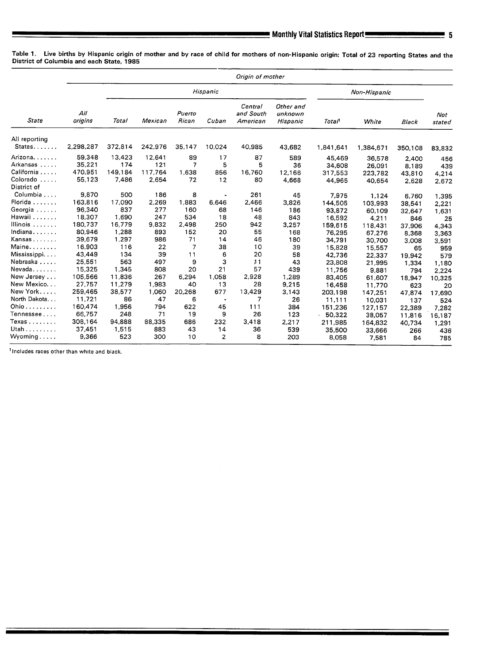Table 1. Live births by Hispanic origin of mother and by race of child for mothers of non-Hispanic origin: Total of 23 reporting States and the District of Columbia and each State, 1985

|                                         | Origin of mother |         |         |                 |                |                                  |                                  |           |           |         |               |  |  |  |
|-----------------------------------------|------------------|---------|---------|-----------------|----------------|----------------------------------|----------------------------------|-----------|-----------|---------|---------------|--|--|--|
| State                                   |                  |         |         |                 | Hispanic       | Non-Hispanic                     |                                  |           |           |         |               |  |  |  |
|                                         | All<br>origins   | Total   | Mexican | Puerto<br>Rican | Cuban          | Central<br>and South<br>American | Other and<br>unknown<br>Hispanic | Total     | White     | Black   | Not<br>stated |  |  |  |
| All reporting                           |                  |         |         |                 |                |                                  |                                  |           |           |         |               |  |  |  |
| States                                  | 2,298,287        | 372,814 | 242,976 | 35,147          | 10,024         | 40,985                           | 43,682                           | 1,841.641 | 1,384,671 | 350,108 | 83,832        |  |  |  |
| Arizona.                                | 59,348           | 13,423  | 12,641  | 89              | 17             | 87                               | 589                              | 45,469    | 36,578    | 2,400   | 456           |  |  |  |
| Arkansas                                | 35,221           | 174     | 121     | 7               | 5              | 5                                | 36                               | 34,608    | 26.091    | 8.189   | 439           |  |  |  |
| California                              | 470,951          | 149,184 | 117,764 | 1,638           | 856            | 16,760                           | 12,166                           | 317,553   | 223,782   | 43,810  | 4,214         |  |  |  |
| Colorado<br>$\sim$ $\sim$ $\sim$ $\sim$ | 55,123           | 7,486   | 2,654   | 72              | 12             | 80                               | 4,668                            | 44.965    | 40,654    | 2,628   | 2,672         |  |  |  |
| District of                             |                  |         |         |                 |                |                                  |                                  |           |           |         |               |  |  |  |
| Columbia                                | 9,870            | 500     | 186     | 8               |                | 261                              | 45                               | 7,975     | 1,124     | 6,760   | 1.395         |  |  |  |
| Florida                                 | 163,816          | 17,090  | 2,269   | 1,883           | 6.646          | 2,466                            | 3,826                            | 144,505   | 103,993   | 38,541  | 2,221         |  |  |  |
| Georgia                                 | 96,340           | 837     | 277     | 160             | 68             | 146                              | 186                              | 93,872    | 60.109    | 32,647  | 1,631         |  |  |  |
| Hawaii                                  | 18,307           | 1,690   | 247     | 534             | 18             | 48                               | 843                              | 16,592    | 4,211     | 846     | 25            |  |  |  |
| Illinois                                | 180.737          | 16,779  | 9.832   | 2.498           | 250            | 942                              | 3,257                            | 159,615   | 118,431   | 37.906  | 4,343         |  |  |  |
| Indiana                                 | 80,946           | 1,288   | 893     | 152             | 20             | 55                               | 168                              | 76,295    | 67,276    | 8,368   | 3,363         |  |  |  |
| Kansas                                  | 39,679           | 1,297   | 986     | 71              | 14             | 46                               | 180                              | 34,791    | 30,700    | 3.008   | 3,591         |  |  |  |
| Maine                                   | 16,903           | 116     | 22      | 7               | 38             | 10                               | 39                               | 15,828    | 15,557    | 65      | 959           |  |  |  |
| Mississippi                             | 43,449           | 134     | 39      | 11              | 6              | 20                               | 58                               | 42.736    | 22,337    | 19,942  | 579           |  |  |  |
| Nebraska                                | 25,551           | 563     | 497     | 9               | 3              | 11                               | 43                               | 23,808    | 21,995    | 1,334   | 1,180         |  |  |  |
| Nevada                                  | 15,325           | 1,345   | 808     | 20              | 21             | 57                               | 439                              | 11,756    | 9,881     | 794     | 2,224         |  |  |  |
| New Jersey                              | 105,566          | 11,836  | 267     | 6,294           | 1.058          | 2,928                            | 1,289                            | 83,405    | 61,607    | 18,947  | 10,325        |  |  |  |
| New Mexico                              | 27,757           | 11,279  | 1,983   | 40              | 13             | 28                               | 9,215                            | 16,458    | 11,770    | 623     | 20            |  |  |  |
| New York                                | 259,465          | 38,577  | 1,060   | 20,268          | 677            | 13,429                           | 3,143                            | 203,198   | 147,251   | 47,874  | 17,690        |  |  |  |
| North Dakota                            | 11.721           | 86      | 47      | 6               |                | 7                                | 26                               | 11,111    | 10.031    | 137     | 524           |  |  |  |
| Ohio                                    | 160,474          | 1.956   | 794     | 622             | 45             | 111                              | 384                              | 151,236   | 127,157   | 22,389  | 7,282         |  |  |  |
| Tennessee                               | 66,757           | 248     | 71      | 19              | 9              | 26                               | 123                              | 50,322    | 38,057    | 11,816  | 16,187        |  |  |  |
| Texas                                   | 308,164          | 94.888  | 88,335  | 686             | 232            | 3,418                            | 2,217                            | 211,985   | 164,832   | 40,734  | 1,291         |  |  |  |
| Utah                                    | 37,451           | 1,515   | 883     | 43              | 14             | 36                               | 539                              | 35,500    | 33,666    | 266     | 436           |  |  |  |
| Wyoming                                 | 9.366            | 523     | 300     | 10              | $\overline{2}$ | 8                                | 203                              | 8,058     | 7,581     | 84      | 785           |  |  |  |

 $<sup>1</sup>$  Includes races other than white and black,</sup>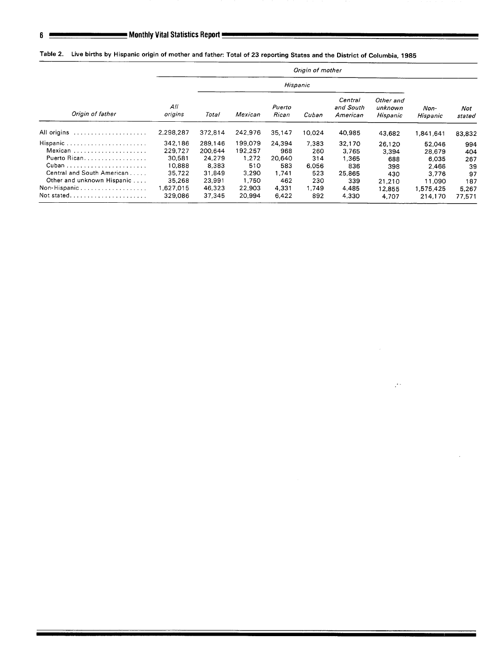|                                                                          | Origin of mother              |                            |                          |                       |                     |                                  |                                  |                      |                 |  |  |
|--------------------------------------------------------------------------|-------------------------------|----------------------------|--------------------------|-----------------------|---------------------|----------------------------------|----------------------------------|----------------------|-----------------|--|--|
|                                                                          |                               |                            |                          |                       |                     |                                  |                                  |                      |                 |  |  |
| Origin of father                                                         | All<br>origins                | Total<br>Mexican           |                          | Puerto<br>Rican       | Cuban               | Central<br>and South<br>American | Other and<br>unknown<br>Hispanic | Non-<br>Hispanic     | Not<br>stated   |  |  |
| All origins                                                              | 2,298,287                     | 372,814                    | 242,976                  | 35,147                | 10.024              | 40,985                           | 43,682                           | 1,841,641            | 83,832          |  |  |
| Hispanic<br>Mexican                                                      | 342,186<br>229,727            | 289.146<br>200.644         | 199.079<br>192.257       | 24.394<br>968         | 7.383<br>260        | 32.170<br>3,765                  | 26.120<br>3,394                  | 52.046<br>28,679     | 994<br>404      |  |  |
| Puerto Rican.                                                            | 30,581<br>10,888              | 24,279<br>8,383            | 1,272<br>510             | 20,640<br>583         | 314<br>6.056        | 1,365<br>836                     | 688<br>398                       | 6.035<br>2.466       | 267<br>39       |  |  |
| Central and South American<br>Other and unknown Hispanic<br>Non-Hispanic | 35,722<br>35,268<br>1.627.015 | 31.849<br>23,991<br>46.323 | 3.290<br>1,750<br>22.903 | 1.741<br>462<br>4,331 | 523<br>230<br>1.749 | 25.865<br>339<br>4,485           | 430<br>21,210                    | 3.776<br>11.090      | 97<br>187       |  |  |
| Not stated                                                               | 329.086                       | 37.345                     | 20.994                   | 6.422                 | 892                 | 4,330                            | 12,855<br>4,707                  | 1,575,425<br>214,170 | 5.267<br>77.571 |  |  |

<u>e de la construcción de la construcción de la construcción de la construcción de la construcción de la constru</u>

 $\mathbb{R}^2$ 

Table 2. Live births by Hispanic origin of mother and father: Total of 23 reporting States and the District of Columbia, 1985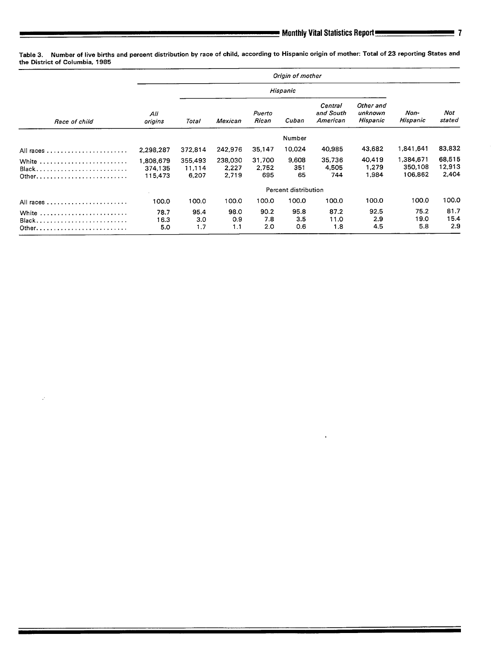$\bar{\mathbf{r}}$ 

Table 3. Number of live births and percent distribution by race of child, according to Hispenic origin of mothec Total of 23 reporting States and the District of Columbia, 1985

|                   | Origin of mother                |                            |                           |                        |                    |                                                                      |                          |                                 |                           |  |  |  |
|-------------------|---------------------------------|----------------------------|---------------------------|------------------------|--------------------|----------------------------------------------------------------------|--------------------------|---------------------------------|---------------------------|--|--|--|
|                   |                                 |                            |                           |                        |                    |                                                                      |                          |                                 |                           |  |  |  |
| Race of child     | All<br>origins                  | Total                      | Mexican                   | Puerto<br>Rican        | Cuban              | Central<br>Other and<br>and South<br>unknown<br>American<br>Hispanic |                          | Non-<br>Hispanic                | Not<br>stated             |  |  |  |
|                   |                                 |                            |                           |                        | Number             |                                                                      |                          |                                 |                           |  |  |  |
| All races         | 2,298,287                       | 372.814                    | 242,976                   | 35,147                 | 10,024             | 40,985                                                               | 43,682                   | 1,841,641                       | 83,832                    |  |  |  |
| White<br>$Black,$ | 1,808,679<br>374,135<br>115,473 | 355,493<br>11.114<br>6,207 | 238,030<br>2,227<br>2,719 | 31,700<br>2,752<br>695 | 9,608<br>351<br>65 | 35,736<br>4,505<br>744                                               | 40,419<br>1,279<br>1.984 | 1,384,671<br>350,108<br>106,862 | 68,515<br>12,913<br>2,404 |  |  |  |
|                   | Percent distribution            |                            |                           |                        |                    |                                                                      |                          |                                 |                           |  |  |  |
|                   | 100.0                           | 100.0                      | 100.0                     | 100.0                  | 100.0              | 100.0                                                                | 100.0                    | 100.0                           | 100.0                     |  |  |  |
| White<br>$Black,$ | 78.7<br>16.3<br>5.0             | 95.4<br>3.0<br>1.7         | 98.0<br>0.9<br>1.1        | 90.2<br>7.8<br>2.0     | 95.8<br>3.5<br>0.6 | 87.2<br>11.0<br>1.8                                                  | 92.5<br>2.9<br>4.5       | 75.2<br>19.0<br>5.8             | 81.7<br>15.4<br>2.9       |  |  |  |

 $\mathcal{C}$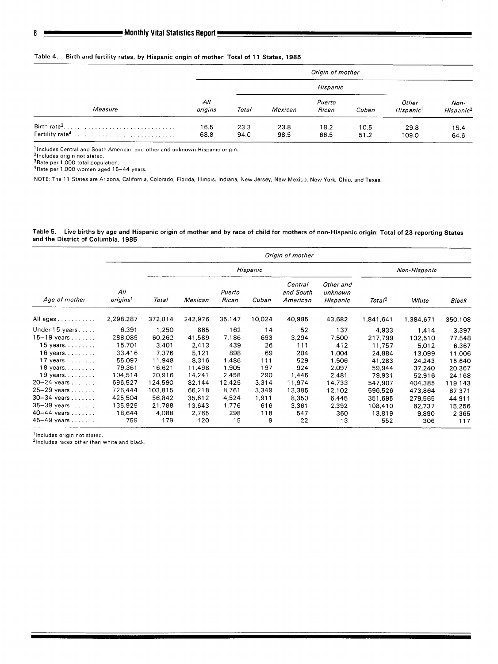#### Table 4. Birth and fertility rates, by Hispanic origin of mother: Total of 11 States, 1985

|                                            | Origin of mother |              |              |                 |              |                                |                               |  |  |  |
|--------------------------------------------|------------------|--------------|--------------|-----------------|--------------|--------------------------------|-------------------------------|--|--|--|
|                                            |                  |              |              | Hispanic        |              |                                |                               |  |  |  |
| Measure                                    | All<br>origins   | Total        | Mexican      | Puerto<br>Rican | Cuban        | Other<br>Hispanic <sup>1</sup> | Non-<br>Hispanic <sup>2</sup> |  |  |  |
| Birth rate <sup>3</sup><br>Fertility rate4 | 16.5<br>68.8     | 23.3<br>94.0 | 23.8<br>98.5 | 18.2<br>66.5    | 10.5<br>51.2 | 29.8<br>109.0                  | 15.4<br>64.6                  |  |  |  |

**'Includes Central and South American and other and unknown H!sparvc orlgln.** 

**'Includes ortgln not stated, 3Rate per 1,000 total population. 4Rate per 1,000 women aged 15–44 years.** 

NOTE: The 11 States are Arizona, California, Colorado, Florida, Illinois, Indiana, New Jersey, New Mexico, New York, Ohio, and Texas.

#### Table 5. Live births by age and Hispanic origin of mother and by race of child for mothers of non-Hispanic origin: Total of 23 reporting States **and the District of Columbia, 1985**

|                      |                             | Origin of mother |         |                 |              |                                  |                                  |                    |           |         |  |  |  |  |
|----------------------|-----------------------------|------------------|---------|-----------------|--------------|----------------------------------|----------------------------------|--------------------|-----------|---------|--|--|--|--|
|                      |                             |                  |         | Hispanic        | Non-Hispanic |                                  |                                  |                    |           |         |  |  |  |  |
| Age of mother        | All<br>origins <sup>1</sup> | Total            | Mexican | Puerto<br>Rican | Cuban        | Central<br>and South<br>American | Other and<br>unknown<br>Hispanic | Total <sup>2</sup> | White     | Black   |  |  |  |  |
| All ages             | 2,298,287                   | 372,814          | 242,976 | 35,147          | 10,024       | 40,985                           | 43.682                           | 1,841,641          | 1,384,671 | 350,108 |  |  |  |  |
| Under 15 years       | 6,391                       | 1,250            | 885     | 162             | 14           | 52                               | 137                              | 4,933              | 1,414     | 3,397   |  |  |  |  |
| $15-19$ years        | 288,089                     | 60.262           | 41.589  | 7,186           | 693          | 3,294                            | 7,500                            | 217,799            | 132,510   | 77,548  |  |  |  |  |
| $15$ years. $\ldots$ | 15,701                      | 3,401            | 2,413   | 439             | 26           | 111                              | 412                              | 11,757             | 5,012     | 6,367   |  |  |  |  |
| $16$ years.          | 33,416                      | 7.376            | 5.121   | 898             | 69           | 284                              | 1,004                            | 24,884             | 13,099    | 11,006  |  |  |  |  |
| $17$ years.          | 55,097                      | 11,948           | 8.316   | 1,486           | 111          | 529                              | 1.506                            | 41,283             | 24,243    | 15,640  |  |  |  |  |
| 18 years. $\ldots$ . | 79,361                      | 16,621           | 11.498  | 1,905           | 197          | 924                              | 2,097                            | 59,944             | 37,240    | 20,367  |  |  |  |  |
| $19$ years.          | 104,514                     | 20.916           | 14,241  | 2,458           | 290          | 1,446                            | 2,481                            | 79.931             | 52,916    | 24,168  |  |  |  |  |
| 20-24 years          | 696,527                     | 124,590          | 82,144  | 12,425          | 3,314        | 11,974                           | 14.733                           | 547,907            | 404.385   | 119,143 |  |  |  |  |
| 25-29 years          | 726,444                     | 103,815          | 66,218  | 8,761           | 3.349        | 13,385                           | 12.102                           | 596,526            | 473,864   | 87.371  |  |  |  |  |
| $30-34$ years        | 425.504                     | 56.842           | 35,612  | 4,524           | 1,911        | 8,350                            | 6.445                            | 351,695            | 279,565   | 44,911  |  |  |  |  |
| $35-39$ years        | 135,929                     | 21,788           | 13.643  | 1,776           | 616          | 3,361                            | 2.392                            | 108,410            | 82,737    | 15,256  |  |  |  |  |
| 40-44 years          | 18,644                      | 4,088            | 2.765   | 298             | 118          | 547                              | 360                              | 13,819             | 9,890     | 2,365   |  |  |  |  |
| 45-49 years          | 759                         | 179              | 120     | 15              | 9            | 22                               | 13                               | 552                | 306       | 117     |  |  |  |  |

**'Includes orlgln not stated.** 

**21ncludes races other than whlre and black**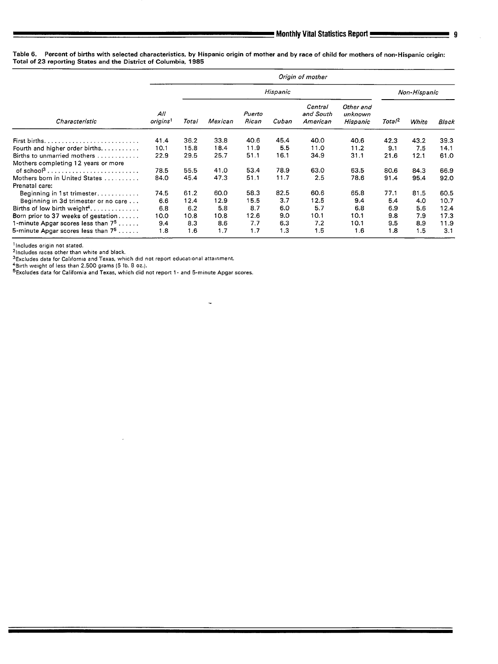**Table 6. Percent of births with selected characteristics, by Hispanic origin of mother and by race of child for mothers of non-Hispanic origin: Total of 23 reporting States and the District of Columbia, 1985** 

|                                         |                             |       |         |                 |       | Origin of mother                 |                                  |                    |       |       |
|-----------------------------------------|-----------------------------|-------|---------|-----------------|-------|----------------------------------|----------------------------------|--------------------|-------|-------|
|                                         |                             |       |         | Non-Hispanic    |       |                                  |                                  |                    |       |       |
| Characteristic                          | All<br>origins <sup>1</sup> | Total | Mexican | Puerto<br>Rican | Cuban | Central<br>and South<br>American | Other and<br>unknown<br>Hispanic | Total <sup>2</sup> | White | Black |
|                                         | 41.4                        | 36.2  | 33.8    | 40.6            | 45.4  | 40.0                             | 40.6                             | 42.3               | 43.2  | 39.3  |
| Fourth and higher order births.         | 10.1                        | 15.8  | 18.4    | 11.9            | 5.5   | 11.0                             | 11.2                             | 9.1                | 7.5   | 14.1  |
| Births to unmarried mothers             | 22.9                        | 29.5  | 25.7    | 51.1            | 16.1  | 34.9                             | 31.1                             | 21.6               | 12.1  | 61.0  |
| Mothers completing 12 years or more     |                             |       |         |                 |       |                                  |                                  |                    |       |       |
|                                         | 78.5                        | 55.5  | 41.0    | 53.4            | 78.9  | 63.0                             | 63.5                             | 80.6               | 84.3  | 66.9  |
| Mothers born in United States           | 84.0                        | 45.4  | 47.3    | 51.1            | 11.7  | 2.5                              | 78.6                             | 91.4               | 95.4  | 92.0  |
| Prenatal care:                          |                             |       |         |                 |       |                                  |                                  |                    |       |       |
| Beginning in 1st trimester              | 74.5                        | 61.2  | 60.0    | 58.3            | 82.5  | 60.6                             | 65.8                             | 77.1               | 81.5  | 60.5  |
| Beginning in 3d trimester or no care    | 6.6                         | 12.4  | 12.9    | 15.5            | 3.7   | 12.5                             | 9.4                              | 5.4                | 4.0   | 10.7  |
| Births of low birth weight <sup>4</sup> | 6.8                         | 6,2   | 5.8     | 8.7             | 6.0   | 5.7                              | 6.8                              | 6.9                | 5.6   | 12.4  |
| Born prior to 37 weeks of gestation     | 10.0                        | 10.8  | 10.8    | 12.6            | 9.0   | 10.1                             | 10.1                             | 9.8                | 7.9   | 17.3  |
| 1-minute Apgar scores less than $7^5$   | 9.4                         | 8.3   | 8.6     | 7.7             | 6.3   | 7.2                              | 10.1                             | 9.5                | 8.9   | 11.9  |
| 5-minute Apgar scores less than $7^5$   | 1.8                         | 1.6   | 1.7     | 1.7             | 1.3   | 1.5                              | 1.6                              | 1.8                | 1.5   | 3.1   |

.-

<sup>1</sup> Includes origin not stated.

**21ncludes races other than white and black.** 

**3Excludes data for Callfom!a and Texas, wh!ch d!d not report educational attainment.** 

\*Birth weight of less than 2,500 grams (5 lb. 8 oz.).<br><sup>5</sup>Excludes data for California and Texas, which did not report 1- and 5-minute Apgar scor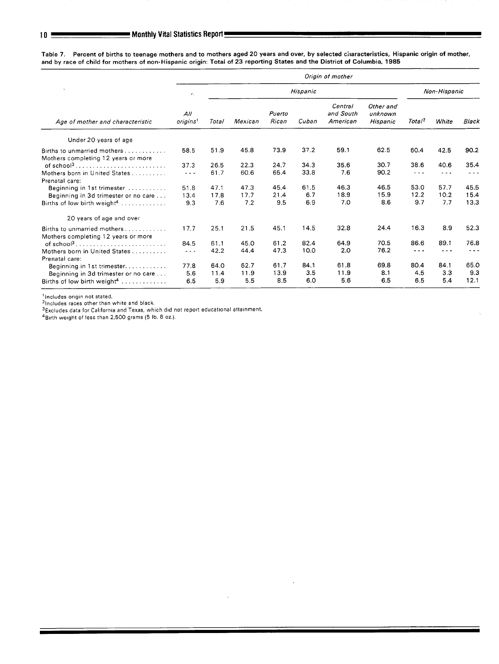Table 7. Percent of births to teenage mothers and to mothers aged 20 years and over, by selected characteristics, Hispanic origin of mother **and by race of child for mothers of non-Hispanic origin: Total of 23 reporting States and the District of Columbia, 1985** 

|                                                                    | Origin of mother            |       |          |                 |       |                                  |                                  |                    |       |              |  |  |
|--------------------------------------------------------------------|-----------------------------|-------|----------|-----------------|-------|----------------------------------|----------------------------------|--------------------|-------|--------------|--|--|
|                                                                    | $\epsilon_{\rm r}$          |       | Hispanic |                 |       |                                  |                                  |                    |       | Non-Hispanic |  |  |
| Age of mother and characteristic                                   | AII<br>origins <sup>1</sup> | Total | Mexican  | Puerto<br>Rican | Cuban | Central<br>and South<br>American | Other and<br>unknown<br>Hispanic | Total <sup>2</sup> | White | Black        |  |  |
| Under 20 years of age                                              |                             |       |          |                 |       |                                  |                                  |                    |       |              |  |  |
| Births to unmarried mothers<br>Mothers completing 12 years or more | 58.5                        | 51.9  | 45.8     | 73.9            | 37.2  | 59.1                             | 62.5                             | 60.4               | 42.5  | 90.2         |  |  |
| of school <sup>3</sup>                                             | 37.3                        | 26.5  | 22.3     | 24.7            | 34.3  | 35.6                             | 30.7                             | 38.6               | 40.6  | 35.4         |  |  |
| Mothers born in United States<br>Prenatal care:                    | .                           | 61.7  | 60.6     | 65.4            | 33.8  | 7.6                              | 90.2                             | - - -              | .     |              |  |  |
| Beginning in 1st trimester                                         | 51.8                        | 47.1  | 47.3     | 45.4            | 61.5  | 46.3                             | 46.5                             | 53.0               | 57.7  | 45.5         |  |  |
| Beginning in 3d trimester or no care                               | 13.4                        | 17.8  | 17.7     | 21.4            | 6.7   | 18.9                             | 15.9                             | 12.2               | 10.2  | 15.4         |  |  |
| Births of low birth weight <sup>4</sup>                            | 9.3                         | 7.6   | 7.2      | 9.5             | 6.9   | 7.0                              | 8.6                              | 9.7                | 7.7   | 13.3         |  |  |
| 20 years of age and over                                           |                             |       |          |                 |       |                                  |                                  |                    |       |              |  |  |
| Births to unmarried mothers<br>Mothers completing 12 years or more | 17.7                        | 25.1  | 21.5     | 45.1            | 14.5  | 32.8                             | 24.4                             | 16.3               | 8.9   | 52.3         |  |  |
| of school <sup>3</sup>                                             | 84.5                        | 61.1  | 45.0     | 61.2            | 82.4  | 64.9                             | 70.5                             | 86.6               | 89.1  | 76.8         |  |  |
| Mothers born in United States<br>Prenatal care:                    | $  -$                       | 42.2  | 44.4     | 47.3            | 10.0  | 2.0                              | 76.2                             | $  -$              |       |              |  |  |
| Beginning in 1st trimester                                         | 77.8                        | 64.0  | 62.7     | 61.7            | 84.1  | 61.8                             | 69.8                             | 80.4               | 84.1  | 65.0         |  |  |
| Beginning in 3d trimester or no care                               | 5.6                         | 11.4  | 11.9     | 13.9            | 3.5   | 11.9                             | 8.1                              | 4.5                | 3.3   | 9.3          |  |  |
|                                                                    | 6.5                         | 5.9   | 5.5      | 8.5             | 6.0   | 5.6                              | 6.5                              | 6.5                | 5.4   | 12.1         |  |  |

<sup>1</sup> Includes origin not stated.

<sup>2</sup>Includes races other than white and black.

 $35x$ cludes data for California and Texas, which did not report educational attainment,

4Birth weight of less than 2,500 grams (5 lb. 8 oz.).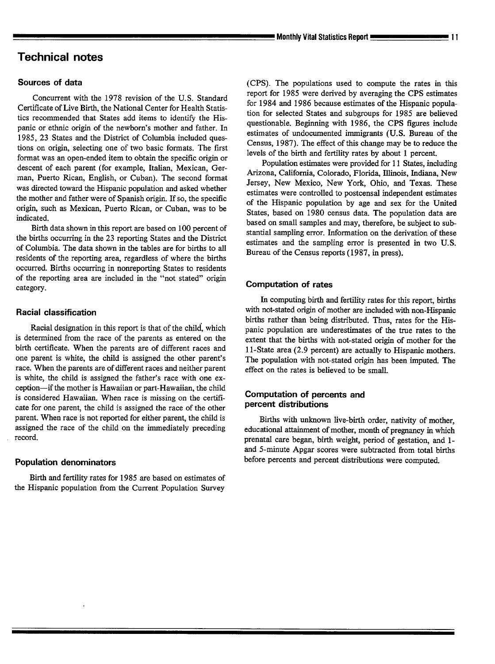## **Technical notes**

#### Sources of data

Concurrent with the 1978 revision of the U.S. Standard Certificate of Live Birth, the National Center for Health Statistics recommended that States add items to identify the Hispanic or ethnic origin of the newborn's mother and father. In 1985, 23 States and the District of Columbia included questions on origin, selecting one of two basic formats. The first format was an open-ended item to obtain the specific origin or descent of each parent (for example, Italian, Mexican, German, Puerto Rican, English, or Cuban). The second format was directed toward the Hispanic population and asked whether the mother and father were of Spanish origin. If so, the specific origin, such as Mexican, Puerto Rican, or Cuban, was to be indicated.

Birth data shown in this report are based on 100 percent of the births occurring in the 23 reporting States and the District of Columbia. The data shown in the tables are for births to all residents of the reporting area, regardless of where the births occurred. Births occurring in nonreporting States to residents of the reporting area are included in the "not stated" origin category.

#### Racial classification

Racial designation in this report is that of the child, which is determined from the race of the parents as entered on the birth certificate. When the parents are of different races and one parent is whhe, the child is assigned the other parent's race. When the parents are of different races and neither parent is white, the child is assigned the father's race with one exception-if the mother is Hawaiian or part-Hawaiian, the child is considered Hawaiian. When race is missing on the certificate for one parent, the child is assigned the race of the other parent. When race is not reported for either parent, the child is assigned the race of the child on the immediately preceding record.

#### Population denominators

Birth and fertility rates for 1985 are based on estimates of the Hispanic population from the Current Population Survey

(CPS). The populations used to compute the rates in this report for 1985 were derived by averaging the CPS estimates for 1984 and 1986 because estimates of the Hispanic population for selected States and subgroups for 1985 are believed questionable. Beginning **with** 1986, the CPS figures include estimates of undocumented immigrants (U.S. Bureau of the Census, 1987). The effect of this change maybe to reduce the levels of the birth and fertility rates by about 1 percent.

Population estimates were provided for 11 States, including Arizona, California, Colorado, Florida, Illinois, Indiana, New Jersey, New Mexico, New York, Ohio, and Texas. These estimates were controlled to postcensal independent estimates of the Hispanic population by age and sex for the United States, based on 1980 census data. The population data are based on small samples and may, therefore, be subject to sub stantial sampling error. Information on the derivation of these estimates and the sampling error is presented in two U.S. Bureau of the Census reports ( 1987, in press).

#### Computation of rates

In computing birth and fertility rates for this report, births with not-stated origin of mother are included with non-Hispanic births rather than being distributed. Thus, rates for the Hispanic population are underestimates of the true rates to the extent that the births with not-stated origin of mother for the 1l-State area (2.9 percent) are actually to Hispanic mothers. The population with not-stated origin has been imputed. The effect on the rates is believed to be small.

#### Computation of percents and percent distributions

Births with unknown live-birth order, nativity of mother, educational attainment of mother, month of pregnancy in which prenatal care began, birth weight, period of gestation, and 1 and 5-minute Apgar scores were subtracted from total births before percents and percent distributions were computed.